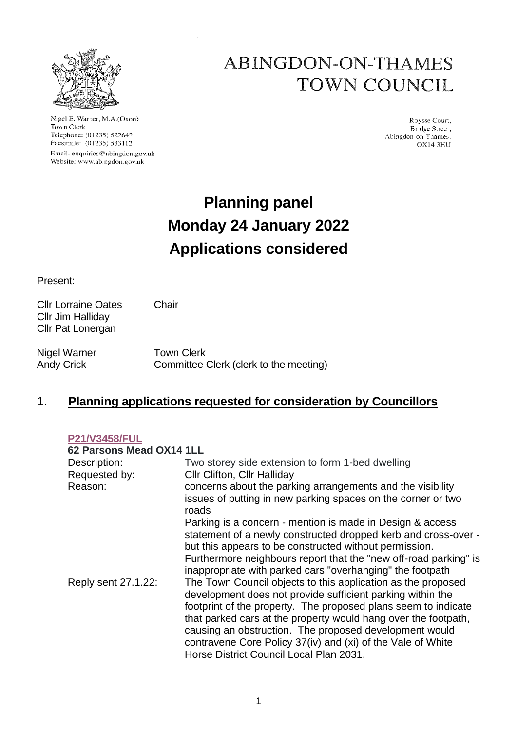

Nigel E. Warner, M.A.(Oxon) Town Clerk Telephone: (01235) 522642 Facsimile: (01235) 533112 Email: enquiries@abingdon.gov.uk Website: www.abingdon.gov.uk

# **ABINGDON-ON-THAMES TOWN COUNCIL**

Roysse Court. Bridge Street, Abingdon-on-Thames. OX14 3HU

# **Planning panel Monday 24 January 2022 Applications considered**

Present:

Cllr Jim Halliday Cllr Pat Lonergan

Cllr Lorraine Oates Chair

Nigel Warner Town Clerk Andy Crick Committee Clerk (clerk to the meeting)

## 1. **Planning applications requested for consideration by Councillors**

#### **[P21/V3458/FUL](https://data.whitehorsedc.gov.uk/java/support/Main.jsp?MODULE=ApplicationDetails&REF=P21/V3458/FUL)**

| 62 Parsons Mead OX14 1LL |                                                                                                                                                                                                                                                                                                                                                                                         |
|--------------------------|-----------------------------------------------------------------------------------------------------------------------------------------------------------------------------------------------------------------------------------------------------------------------------------------------------------------------------------------------------------------------------------------|
| Description:             | Two storey side extension to form 1-bed dwelling                                                                                                                                                                                                                                                                                                                                        |
| Requested by:            | <b>CIIr Clifton, CIIr Halliday</b>                                                                                                                                                                                                                                                                                                                                                      |
| Reason:                  | concerns about the parking arrangements and the visibility                                                                                                                                                                                                                                                                                                                              |
|                          | issues of putting in new parking spaces on the corner or two<br>roads                                                                                                                                                                                                                                                                                                                   |
|                          | Parking is a concern - mention is made in Design & access                                                                                                                                                                                                                                                                                                                               |
|                          | statement of a newly constructed dropped kerb and cross-over -<br>but this appears to be constructed without permission.                                                                                                                                                                                                                                                                |
|                          | Furthermore neighbours report that the "new off-road parking" is<br>inappropriate with parked cars "overhanging" the footpath                                                                                                                                                                                                                                                           |
| Reply sent 27.1.22:      | The Town Council objects to this application as the proposed<br>development does not provide sufficient parking within the<br>footprint of the property. The proposed plans seem to indicate<br>that parked cars at the property would hang over the footpath,<br>causing an obstruction. The proposed development would<br>contravene Core Policy 37(iv) and (xi) of the Vale of White |
|                          | Horse District Council Local Plan 2031.                                                                                                                                                                                                                                                                                                                                                 |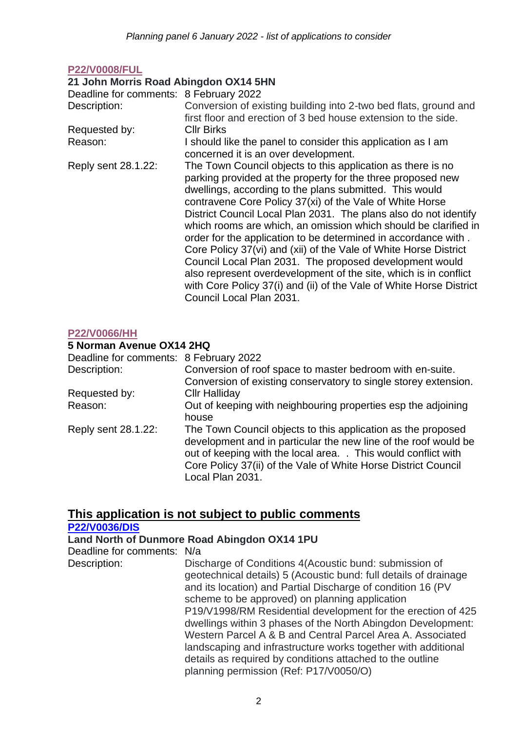### **[P22/V0008/FUL](https://data.whitehorsedc.gov.uk/java/support/Main.jsp?MODULE=ApplicationDetails&REF=P22/V0008/FUL)**

#### **21 John Morris Road Abingdon OX14 5HN**

Deadline for comments: 8 February 2022 Description: Conversion of existing building into 2-two bed flats, ground and first floor and erection of 3 bed house extension to the side. Requested by: Cllr Birks Reason: I should like the panel to consider this application as I am concerned it is an over development. Reply sent 28.1.22: The Town Council objects to this application as there is no parking provided at the property for the three proposed new dwellings, according to the plans submitted. This would contravene Core Policy 37(xi) of the Vale of White Horse District Council Local Plan 2031. The plans also do not identify which rooms are which, an omission which should be clarified in order for the application to be determined in accordance with .

Core Policy 37(vi) and (xii) of the Vale of White Horse District Council Local Plan 2031. The proposed development would also represent overdevelopment of the site, which is in conflict with Core Policy 37(i) and (ii) of the Vale of White Horse District Council Local Plan 2031.

#### **[P22/V0066/HH](https://data.whitehorsedc.gov.uk/java/support/Main.jsp?MODULE=ApplicationDetails&REF=P22/V0066/HH)**

#### **5 Norman Avenue OX14 2HQ**

| Deadline for comments: 8 February 2022 |                                                                                                                                                                                                                                                                                         |
|----------------------------------------|-----------------------------------------------------------------------------------------------------------------------------------------------------------------------------------------------------------------------------------------------------------------------------------------|
| Description:                           | Conversion of roof space to master bedroom with en-suite.                                                                                                                                                                                                                               |
|                                        | Conversion of existing conservatory to single storey extension.                                                                                                                                                                                                                         |
| Requested by:                          | <b>Cllr Halliday</b>                                                                                                                                                                                                                                                                    |
| Reason:                                | Out of keeping with neighbouring properties esp the adjoining<br>house                                                                                                                                                                                                                  |
| Reply sent 28.1.22:                    | The Town Council objects to this application as the proposed<br>development and in particular the new line of the roof would be<br>out of keeping with the local area. . This would conflict with<br>Core Policy 37(ii) of the Vale of White Horse District Council<br>Local Plan 2031. |

# **This application is not subject to public comments**

**[P22/V0036/DIS](https://data.whitehorsedc.gov.uk/java/support/Main.jsp?MODULE=ApplicationDetails&REF=P22/V0036/DIS)**

#### **Land North of Dunmore Road Abingdon OX14 1PU**

Deadline for comments: N/a

Description: Discharge of Conditions 4(Acoustic bund: submission of geotechnical details) 5 (Acoustic bund: full details of drainage and its location) and Partial Discharge of condition 16 (PV scheme to be approved) on planning application P19/V1998/RM Residential development for the erection of 425 dwellings within 3 phases of the North Abingdon Development: Western Parcel A & B and Central Parcel Area A. Associated landscaping and infrastructure works together with additional details as required by conditions attached to the outline planning permission (Ref: P17/V0050/O)